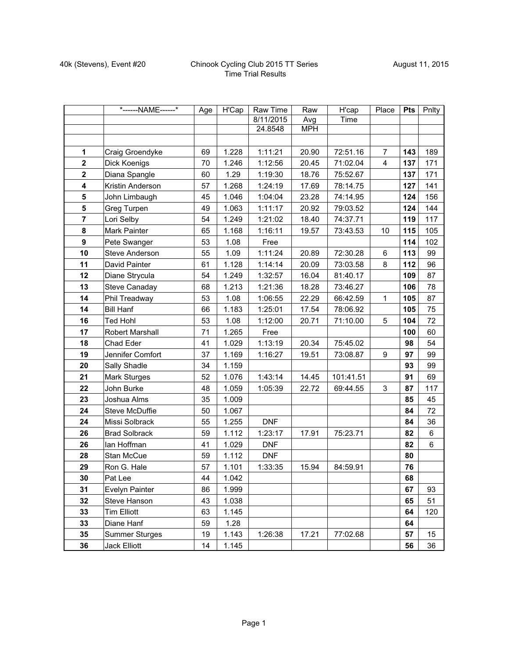## 40k (Stevens), Event #20 Chinook Cycling Club 2015 TT Series Time Trial Results

|                  | *------NAME------*     | Age | H'Cap | Raw Time   | Raw        | H'cap     | Place          | <b>Pts</b> | Pnlty |
|------------------|------------------------|-----|-------|------------|------------|-----------|----------------|------------|-------|
|                  |                        |     |       | 8/11/2015  | Avg        | Time      |                |            |       |
|                  |                        |     |       | 24.8548    | <b>MPH</b> |           |                |            |       |
|                  |                        |     |       |            |            |           |                |            |       |
| $\mathbf 1$      | Craig Groendyke        | 69  | 1.228 | 1:11:21    | 20.90      | 72:51.16  | $\overline{7}$ | 143        | 189   |
| $\mathbf{2}$     | Dick Koenigs           | 70  | 1.246 | 1:12:56    | 20.45      | 71:02.04  | $\overline{4}$ | 137        | 171   |
| $\mathbf{2}$     | Diana Spangle          | 60  | 1.29  | 1:19:30    | 18.76      | 75:52.67  |                | 137        | 171   |
| 4                | Kristin Anderson       | 57  | 1.268 | 1:24:19    | 17.69      | 78:14.75  |                | 127        | 141   |
| 5                | John Limbaugh          | 45  | 1.046 | 1:04:04    | 23.28      | 74:14.95  |                | 124        | 156   |
| ${\bf 5}$        | Greg Turpen            | 49  | 1.063 | 1:11:17    | 20.92      | 79:03.52  |                | 124        | 144   |
| $\overline{7}$   | Lori Selby             | 54  | 1.249 | 1:21:02    | 18.40      | 74:37.71  |                | 119        | 117   |
| 8                | Mark Painter           | 65  | 1.168 | 1:16:11    | 19.57      | 73:43.53  | 10             | 115        | 105   |
| $\boldsymbol{9}$ | Pete Swanger           | 53  | 1.08  | Free       |            |           |                | 114        | 102   |
| 10               | <b>Steve Anderson</b>  | 55  | 1.09  | 1:11:24    | 20.89      | 72:30.28  | 6              | 113        | 99    |
| 11               | David Painter          | 61  | 1.128 | 1:14:14    | 20.09      | 73:03.58  | 8              | 112        | 96    |
| 12               | Diane Strycula         | 54  | 1.249 | 1:32:57    | 16.04      | 81:40.17  |                | 109        | 87    |
| 13               | Steve Canaday          | 68  | 1.213 | 1:21:36    | 18.28      | 73:46.27  |                | 106        | 78    |
| 14               | Phil Treadway          | 53  | 1.08  | 1:06:55    | 22.29      | 66:42.59  | $\mathbf{1}$   | 105        | 87    |
| 14               | <b>Bill Hanf</b>       | 66  | 1.183 | 1:25:01    | 17.54      | 78:06.92  |                | 105        | 75    |
| 16               | <b>Ted Hohl</b>        | 53  | 1.08  | 1:12:00    | 20.71      | 71:10.00  | 5              | 104        | 72    |
| 17               | <b>Robert Marshall</b> | 71  | 1.265 | Free       |            |           |                | 100        | 60    |
| 18               | Chad Eder              | 41  | 1.029 | 1:13:19    | 20.34      | 75:45.02  |                | 98         | 54    |
| 19               | Jennifer Comfort       | 37  | 1.169 | 1:16:27    | 19.51      | 73:08.87  | 9              | 97         | 99    |
| 20               | Sally Shadle           | 34  | 1.159 |            |            |           |                | 93         | 99    |
| 21               | Mark Sturges           | 52  | 1.076 | 1:43:14    | 14.45      | 101:41.51 |                | 91         | 69    |
| 22               | John Burke             | 48  | 1.059 | 1:05:39    | 22.72      | 69:44.55  | 3              | 87         | 117   |
| 23               | Joshua Alms            | 35  | 1.009 |            |            |           |                | 85         | 45    |
| 24               | Steve McDuffie         | 50  | 1.067 |            |            |           |                | 84         | 72    |
| 24               | Missi Solbrack         | 55  | 1.255 | <b>DNF</b> |            |           |                | 84         | 36    |
| 26               | <b>Brad Solbrack</b>   | 59  | 1.112 | 1:23:17    | 17.91      | 75:23.71  |                | 82         | 6     |
| 26               | lan Hoffman            | 41  | 1.029 | <b>DNF</b> |            |           |                | 82         | 6     |
| 28               | Stan McCue             | 59  | 1.112 | <b>DNF</b> |            |           |                | 80         |       |
| 29               | Ron G. Hale            | 57  | 1.101 | 1:33:35    | 15.94      | 84:59.91  |                | 76         |       |
| 30               | Pat Lee                | 44  | 1.042 |            |            |           |                | 68         |       |
| 31               | Evelyn Painter         | 86  | 1.999 |            |            |           |                | 67         | 93    |
| 32               | Steve Hanson           | 43  | 1.038 |            |            |           |                | 65         | 51    |
| 33               | <b>Tim Elliott</b>     | 63  | 1.145 |            |            |           |                | 64         | 120   |
| 33               | Diane Hanf             | 59  | 1.28  |            |            |           |                | 64         |       |
| 35               | <b>Summer Sturges</b>  | 19  | 1.143 | 1:26:38    | 17.21      | 77:02.68  |                | 57         | 15    |
| 36               | Jack Elliott           | 14  | 1.145 |            |            |           |                | 56         | 36    |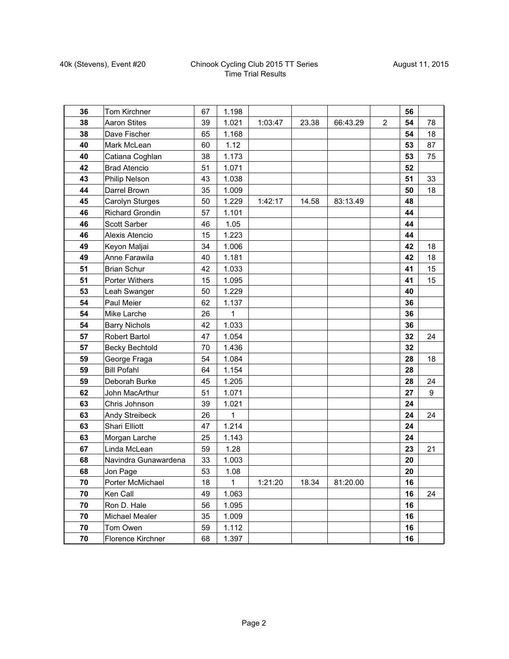## 40k (Stevens), Event #20 Chinook Cycling Club 2015 TT Series Time Trial Results

| 36 | Tom Kirchner             | 67 | 1.198 |         |       |          |                | 56 |                  |
|----|--------------------------|----|-------|---------|-------|----------|----------------|----|------------------|
| 38 | <b>Aaron Stites</b>      | 39 | 1.021 | 1:03:47 | 23.38 | 66:43.29 | $\overline{2}$ | 54 | 78               |
| 38 | Dave Fischer             | 65 | 1.168 |         |       |          |                | 54 | 18               |
| 40 | Mark McLean              | 60 | 1.12  |         |       |          |                | 53 | 87               |
| 40 | Catiana Coghlan          | 38 | 1.173 |         |       |          |                | 53 | 75               |
| 42 | <b>Brad Atencio</b>      | 51 | 1.071 |         |       |          |                | 52 |                  |
| 43 | Philip Nelson            | 43 | 1.038 |         |       |          |                | 51 | 33               |
| 44 | Darrel Brown             | 35 | 1.009 |         |       |          |                | 50 | 18               |
| 45 | Carolyn Sturges          | 50 | 1.229 | 1:42:17 | 14.58 | 83:13.49 |                | 48 |                  |
| 46 | Richard Grondin          | 57 | 1.101 |         |       |          |                | 44 |                  |
| 46 | Scott Sarber             | 46 | 1.05  |         |       |          |                | 44 |                  |
| 46 | Alexis Atencio           | 15 | 1.223 |         |       |          |                | 44 |                  |
| 49 | Keyon Maljai             | 34 | 1.006 |         |       |          |                | 42 | 18               |
| 49 | Anne Farawila            | 40 | 1.181 |         |       |          |                | 42 | 18               |
| 51 | <b>Brian Schur</b>       | 42 | 1.033 |         |       |          |                | 41 | 15               |
| 51 | Porter Withers           | 15 | 1.095 |         |       |          |                | 41 | 15               |
| 53 | Leah Swanger             | 50 | 1.229 |         |       |          |                | 40 |                  |
| 54 | Paul Meier               | 62 | 1.137 |         |       |          |                | 36 |                  |
| 54 | Mike Larche              | 26 | 1     |         |       |          |                | 36 |                  |
| 54 | <b>Barry Nichols</b>     | 42 | 1.033 |         |       |          |                | 36 |                  |
| 57 | <b>Robert Bartol</b>     | 47 | 1.054 |         |       |          |                | 32 | 24               |
| 57 | Becky Bechtold           | 70 | 1.436 |         |       |          |                | 32 |                  |
| 59 | George Fraga             | 54 | 1.084 |         |       |          |                | 28 | 18               |
| 59 | <b>Bill Pofahl</b>       | 64 | 1.154 |         |       |          |                | 28 |                  |
| 59 | Deborah Burke            | 45 | 1.205 |         |       |          |                | 28 | 24               |
| 62 | John MacArthur           | 51 | 1.071 |         |       |          |                | 27 | $\boldsymbol{9}$ |
| 63 | Chris Johnson            | 39 | 1.021 |         |       |          |                | 24 |                  |
| 63 | Andy Streibeck           | 26 | 1     |         |       |          |                | 24 | 24               |
| 63 | Shari Elliott            | 47 | 1.214 |         |       |          |                | 24 |                  |
| 63 | Morgan Larche            | 25 | 1.143 |         |       |          |                | 24 |                  |
| 67 | Linda McLean             | 59 | 1.28  |         |       |          |                | 23 | 21               |
| 68 | Navindra Gunawardena     | 33 | 1.003 |         |       |          |                | 20 |                  |
| 68 | Jon Page                 | 53 | 1.08  |         |       |          |                | 20 |                  |
| 70 | Porter McMichael         | 18 | 1     | 1:21:20 | 18.34 | 81:20.00 |                | 16 |                  |
| 70 | Ken Call                 | 49 | 1.063 |         |       |          |                | 16 | 24               |
| 70 | Ron D. Hale              | 56 | 1.095 |         |       |          |                | 16 |                  |
| 70 | Michael Mealer           | 35 | 1.009 |         |       |          |                | 16 |                  |
| 70 | Tom Owen                 | 59 | 1.112 |         |       |          |                | 16 |                  |
| 70 | <b>Florence Kirchner</b> | 68 | 1.397 |         |       |          |                | 16 |                  |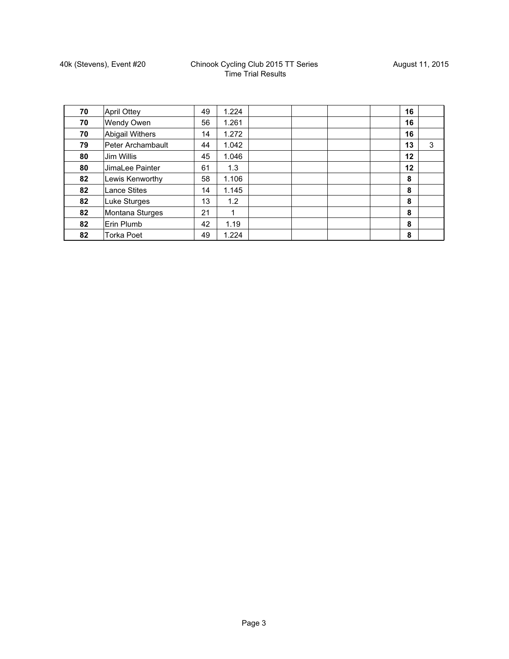| 70 | <b>April Ottey</b>  | 49 | 1.224 |  |  | 16 |   |
|----|---------------------|----|-------|--|--|----|---|
| 70 | Wendy Owen          | 56 | 1.261 |  |  | 16 |   |
| 70 | Abigail Withers     | 14 | 1.272 |  |  | 16 |   |
| 79 | Peter Archambault   | 44 | 1.042 |  |  | 13 | 3 |
| 80 | Jim Willis          | 45 | 1.046 |  |  | 12 |   |
| 80 | JimaLee Painter     | 61 | 1.3   |  |  | 12 |   |
| 82 | Lewis Kenworthy     | 58 | 1.106 |  |  | 8  |   |
| 82 | <b>Lance Stites</b> | 14 | 1.145 |  |  | 8  |   |
| 82 | Luke Sturges        | 13 | 1.2   |  |  | 8  |   |
| 82 | Montana Sturges     | 21 | 1     |  |  | 8  |   |
| 82 | Erin Plumb          | 42 | 1.19  |  |  | 8  |   |
| 82 | <b>Torka Poet</b>   | 49 | 1.224 |  |  | 8  |   |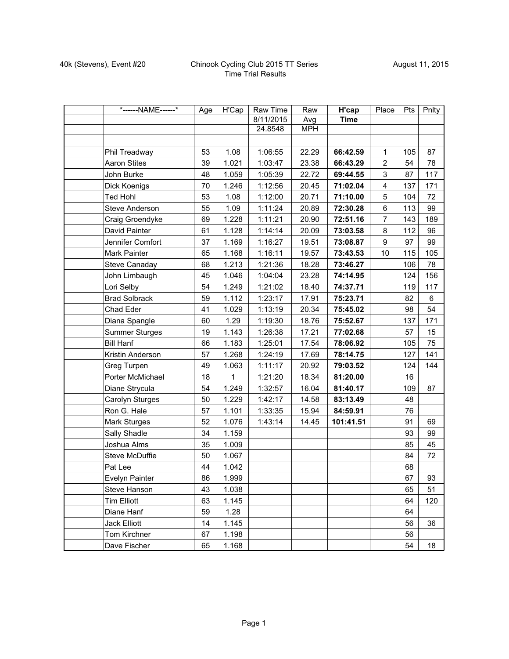| *------NAME------*    | Age | H'Cap | Raw Time  | Raw        | H'cap       | Place          | Pts | Pnlty |
|-----------------------|-----|-------|-----------|------------|-------------|----------------|-----|-------|
|                       |     |       | 8/11/2015 | Avg        | <b>Time</b> |                |     |       |
|                       |     |       | 24.8548   | <b>MPH</b> |             |                |     |       |
|                       |     |       |           |            |             |                |     |       |
| Phil Treadway         | 53  | 1.08  | 1:06:55   | 22.29      | 66:42.59    | $\mathbf{1}$   | 105 | 87    |
| <b>Aaron Stites</b>   | 39  | 1.021 | 1:03:47   | 23.38      | 66:43.29    | $\overline{2}$ | 54  | 78    |
| John Burke            | 48  | 1.059 | 1:05:39   | 22.72      | 69:44.55    | 3              | 87  | 117   |
| Dick Koenigs          | 70  | 1.246 | 1:12:56   | 20.45      | 71:02.04    | $\overline{4}$ | 137 | 171   |
| <b>Ted Hohl</b>       | 53  | 1.08  | 1:12:00   | 20.71      | 71:10.00    | 5              | 104 | 72    |
| Steve Anderson        | 55  | 1.09  | 1:11:24   | 20.89      | 72:30.28    | $\,6\,$        | 113 | 99    |
| Craig Groendyke       | 69  | 1.228 | 1:11:21   | 20.90      | 72:51.16    | $\overline{7}$ | 143 | 189   |
| David Painter         | 61  | 1.128 | 1:14:14   | 20.09      | 73:03.58    | 8              | 112 | 96    |
| Jennifer Comfort      | 37  | 1.169 | 1:16:27   | 19.51      | 73:08.87    | 9              | 97  | 99    |
| Mark Painter          | 65  | 1.168 | 1:16:11   | 19.57      | 73:43.53    | 10             | 115 | 105   |
| <b>Steve Canaday</b>  | 68  | 1.213 | 1:21:36   | 18.28      | 73:46.27    |                | 106 | 78    |
| John Limbaugh         | 45  | 1.046 | 1:04:04   | 23.28      | 74:14.95    |                | 124 | 156   |
| Lori Selby            | 54  | 1.249 | 1:21:02   | 18.40      | 74:37.71    |                | 119 | 117   |
| <b>Brad Solbrack</b>  | 59  | 1.112 | 1:23:17   | 17.91      | 75:23.71    |                | 82  | 6     |
| Chad Eder             | 41  | 1.029 | 1:13:19   | 20.34      | 75:45.02    |                | 98  | 54    |
| Diana Spangle         | 60  | 1.29  | 1:19:30   | 18.76      | 75:52.67    |                | 137 | 171   |
| <b>Summer Sturges</b> | 19  | 1.143 | 1:26:38   | 17.21      | 77:02.68    |                | 57  | 15    |
| <b>Bill Hanf</b>      | 66  | 1.183 | 1:25:01   | 17.54      | 78:06.92    |                | 105 | 75    |
| Kristin Anderson      | 57  | 1.268 | 1:24:19   | 17.69      | 78:14.75    |                | 127 | 141   |
| Greg Turpen           | 49  | 1.063 | 1:11:17   | 20.92      | 79:03.52    |                | 124 | 144   |
| Porter McMichael      | 18  | 1     | 1:21:20   | 18.34      | 81:20.00    |                | 16  |       |
| Diane Strycula        | 54  | 1.249 | 1:32:57   | 16.04      | 81:40.17    |                | 109 | 87    |
| Carolyn Sturges       | 50  | 1.229 | 1:42:17   | 14.58      | 83:13.49    |                | 48  |       |
| Ron G. Hale           | 57  | 1.101 | 1:33:35   | 15.94      | 84:59.91    |                | 76  |       |
| Mark Sturges          | 52  | 1.076 | 1:43:14   | 14.45      | 101:41.51   |                | 91  | 69    |
| Sally Shadle          | 34  | 1.159 |           |            |             |                | 93  | 99    |
| Joshua Alms           | 35  | 1.009 |           |            |             |                | 85  | 45    |
| Steve McDuffie        | 50  | 1.067 |           |            |             |                | 84  | 72    |
| Pat Lee               | 44  | 1.042 |           |            |             |                | 68  |       |
| Evelyn Painter        | 86  | 1.999 |           |            |             |                | 67  | 93    |
| Steve Hanson          | 43  | 1.038 |           |            |             |                | 65  | 51    |
| <b>Tim Elliott</b>    | 63  | 1.145 |           |            |             |                | 64  | 120   |
| Diane Hanf            | 59  | 1.28  |           |            |             |                | 64  |       |
| Jack Elliott          | 14  | 1.145 |           |            |             |                | 56  | 36    |
| Tom Kirchner          | 67  | 1.198 |           |            |             |                | 56  |       |
| Dave Fischer          | 65  | 1.168 |           |            |             |                | 54  | 18    |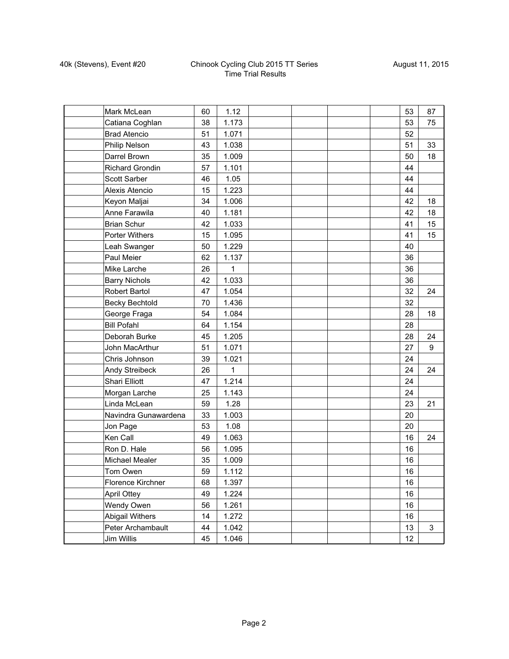## 40k (Stevens), Event #20 Chinook Cycling Club 2015 TT Series Time Trial Results

| Mark McLean            | 60 | 1.12  |  |  | 53 | 87 |
|------------------------|----|-------|--|--|----|----|
| Catiana Coghlan        | 38 | 1.173 |  |  | 53 | 75 |
| <b>Brad Atencio</b>    | 51 | 1.071 |  |  | 52 |    |
| Philip Nelson          | 43 | 1.038 |  |  | 51 | 33 |
| Darrel Brown           | 35 | 1.009 |  |  | 50 | 18 |
| Richard Grondin        | 57 | 1.101 |  |  | 44 |    |
| Scott Sarber           | 46 | 1.05  |  |  | 44 |    |
| Alexis Atencio         | 15 | 1.223 |  |  | 44 |    |
| Keyon Maljai           | 34 | 1.006 |  |  | 42 | 18 |
| Anne Farawila          | 40 | 1.181 |  |  | 42 | 18 |
| <b>Brian Schur</b>     | 42 | 1.033 |  |  | 41 | 15 |
| Porter Withers         | 15 | 1.095 |  |  | 41 | 15 |
| Leah Swanger           | 50 | 1.229 |  |  | 40 |    |
| Paul Meier             | 62 | 1.137 |  |  | 36 |    |
| Mike Larche            | 26 | 1     |  |  | 36 |    |
| <b>Barry Nichols</b>   | 42 | 1.033 |  |  | 36 |    |
| <b>Robert Bartol</b>   | 47 | 1.054 |  |  | 32 | 24 |
| <b>Becky Bechtold</b>  | 70 | 1.436 |  |  | 32 |    |
| George Fraga           | 54 | 1.084 |  |  | 28 | 18 |
| <b>Bill Pofahl</b>     | 64 | 1.154 |  |  | 28 |    |
| Deborah Burke          | 45 | 1.205 |  |  | 28 | 24 |
| John MacArthur         | 51 | 1.071 |  |  | 27 | 9  |
| Chris Johnson          | 39 | 1.021 |  |  | 24 |    |
| Andy Streibeck         | 26 | 1     |  |  | 24 | 24 |
| <b>Shari Elliott</b>   | 47 | 1.214 |  |  | 24 |    |
| Morgan Larche          | 25 | 1.143 |  |  | 24 |    |
| Linda McLean           | 59 | 1.28  |  |  | 23 | 21 |
| Navindra Gunawardena   | 33 | 1.003 |  |  | 20 |    |
| Jon Page               | 53 | 1.08  |  |  | 20 |    |
| Ken Call               | 49 | 1.063 |  |  | 16 | 24 |
| Ron D. Hale            | 56 | 1.095 |  |  | 16 |    |
| Michael Mealer         | 35 | 1.009 |  |  | 16 |    |
| Tom Owen               | 59 | 1.112 |  |  | 16 |    |
| Florence Kirchner      | 68 | 1.397 |  |  | 16 |    |
| <b>April Ottey</b>     | 49 | 1.224 |  |  | 16 |    |
| Wendy Owen             | 56 | 1.261 |  |  | 16 |    |
| <b>Abigail Withers</b> | 14 | 1.272 |  |  | 16 |    |
| Peter Archambault      | 44 | 1.042 |  |  | 13 | 3  |
| Jim Willis             | 45 | 1.046 |  |  | 12 |    |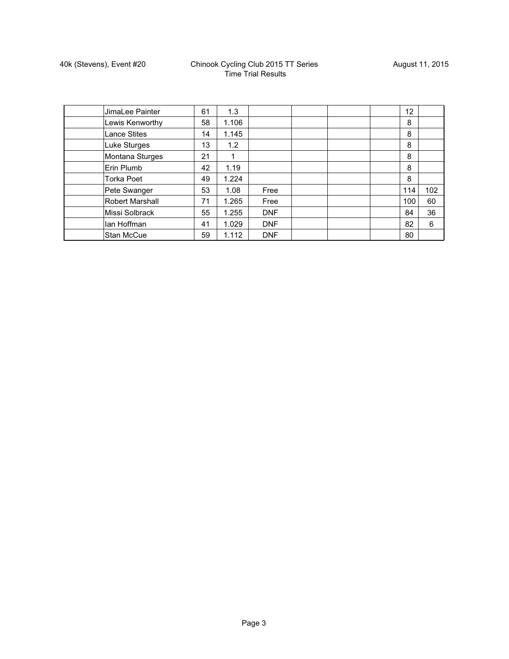| JimaLee Painter        | 61 | 1.3   |            |  | 12 <sup>2</sup> |     |
|------------------------|----|-------|------------|--|-----------------|-----|
| Lewis Kenworthy        | 58 | 1.106 |            |  | 8               |     |
| <b>Lance Stites</b>    | 14 | 1.145 |            |  | 8               |     |
| Luke Sturges           | 13 | 1.2   |            |  | 8               |     |
| Montana Sturges        | 21 | 1     |            |  | 8               |     |
| Erin Plumb             | 42 | 1.19  |            |  | 8               |     |
| <b>Torka Poet</b>      | 49 | 1.224 |            |  | 8               |     |
| Pete Swanger           | 53 | 1.08  | Free       |  | 114             | 102 |
| <b>Robert Marshall</b> | 71 | 1.265 | Free       |  | 100             | 60  |
| Missi Solbrack         | 55 | 1.255 | <b>DNF</b> |  | 84              | 36  |
| lan Hoffman            | 41 | 1.029 | <b>DNF</b> |  | 82              | 6   |
| <b>Stan McCue</b>      | 59 | 1.112 | <b>DNF</b> |  | 80              |     |